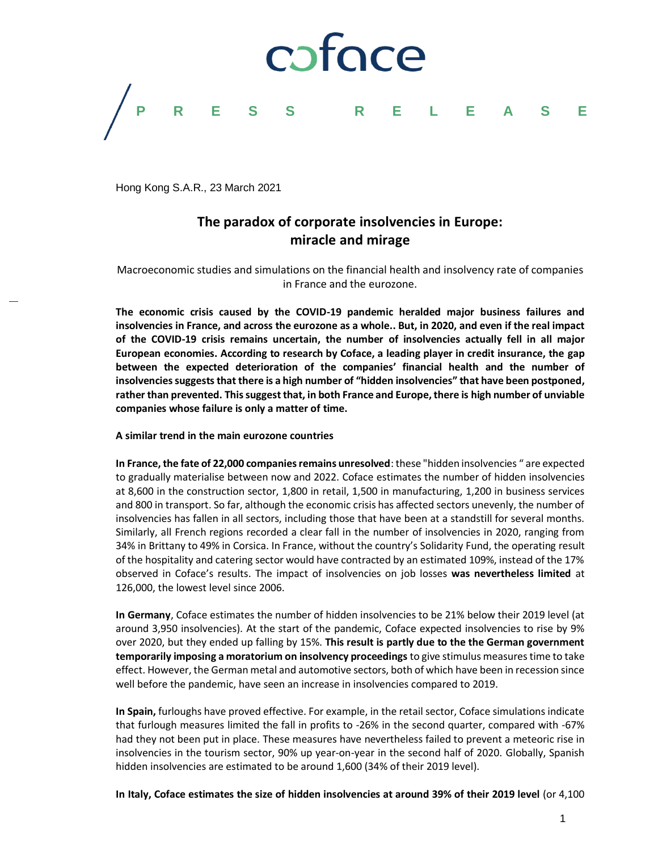

Hong Kong S.A.R., 23 March 2021

# **The paradox of corporate insolvencies in Europe: miracle and mirage**

Macroeconomic studies and simulations on the financial health and insolvency rate of companies in France and the eurozone.

**The economic crisis caused by the COVID-19 pandemic heralded major business failures and insolvencies in France, and across the eurozone as a whole.. But, in 2020, and even if the real impact of the COVID-19 crisis remains uncertain, the number of insolvencies actually fell in all major European economies. According to research by Coface, a leading player in credit insurance, the gap between the expected deterioration of the companies' financial health and the number of insolvencies suggests that there is a high number of "hidden insolvencies" that have been postponed, rather than prevented. This suggest that, in both France and Europe, there is high number of unviable companies whose failure is only a matter of time.**

### **A similar trend in the main eurozone countries**

**In France, the fate of 22,000 companies remains unresolved**: these "hidden insolvencies " are expected to gradually materialise between now and 2022. Coface estimates the number of hidden insolvencies at 8,600 in the construction sector, 1,800 in retail, 1,500 in manufacturing, 1,200 in business services and 800 in transport. So far, although the economic crisis has affected sectors unevenly, the number of insolvencies has fallen in all sectors, including those that have been at a standstill for several months. Similarly, all French regions recorded a clear fall in the number of insolvencies in 2020, ranging from 34% in Brittany to 49% in Corsica. In France, without the country's Solidarity Fund, the operating result of the hospitality and catering sector would have contracted by an estimated 109%, instead of the 17% observed in Coface's results. The impact of insolvencies on job losses **was nevertheless limited** at 126,000, the lowest level since 2006.

**In Germany**, Coface estimates the number of hidden insolvencies to be 21% below their 2019 level (at around 3,950 insolvencies). At the start of the pandemic, Coface expected insolvencies to rise by 9% over 2020, but they ended up falling by 15%. **This result is partly due to the the German government temporarily imposing a moratorium on insolvency proceedings** to give stimulus measures time to take effect. However, the German metal and automotive sectors, both of which have been in recession since well before the pandemic, have seen an increase in insolvencies compared to 2019.

**In Spain,** furloughs have proved effective. For example, in the retail sector, Coface simulations indicate that furlough measures limited the fall in profits to -26% in the second quarter, compared with -67% had they not been put in place. These measures have nevertheless failed to prevent a meteoric rise in insolvencies in the tourism sector, 90% up year-on-year in the second half of 2020. Globally, Spanish hidden insolvencies are estimated to be around 1,600 (34% of their 2019 level).

**In Italy, Coface estimates the size of hidden insolvencies at around 39% of their 2019 level** (or 4,100